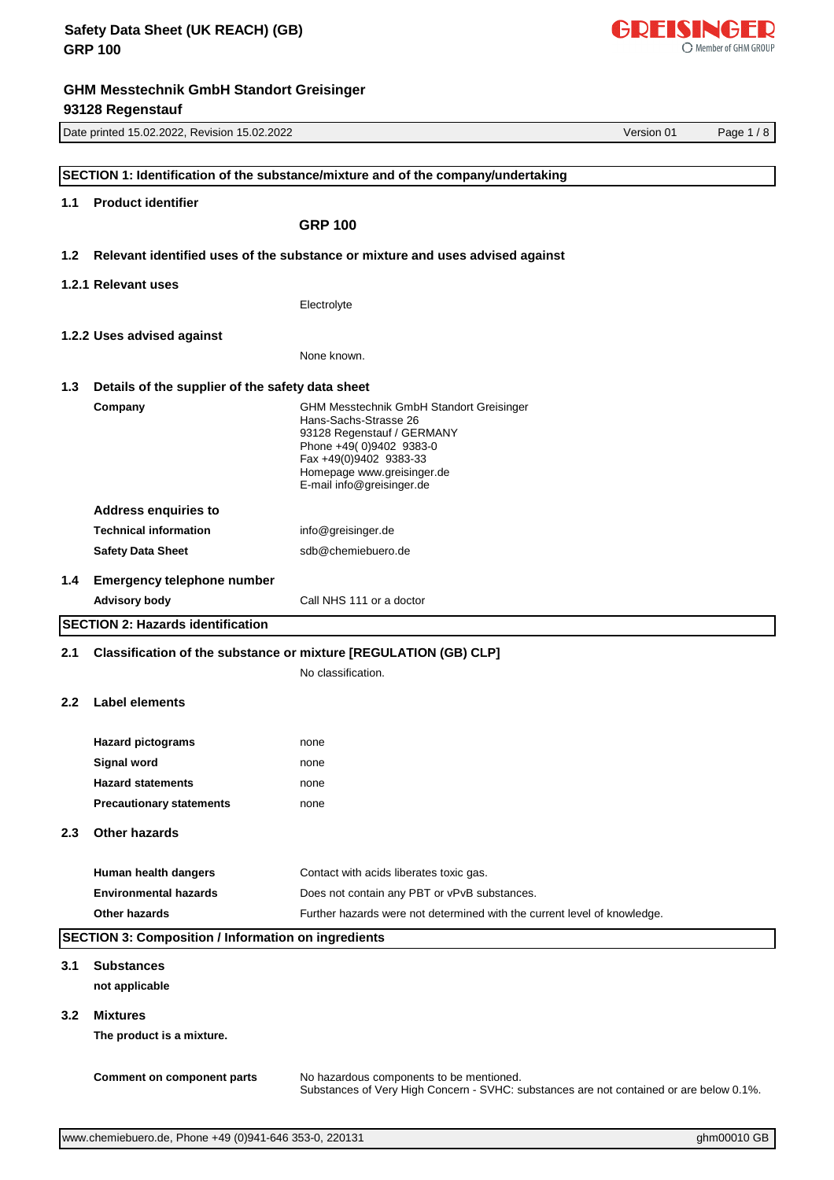|               | Date printed 15.02.2022, Revision 15.02.2022<br>Version 01<br>Page $1/8$ |                                                                                                                                     |  |  |
|---------------|--------------------------------------------------------------------------|-------------------------------------------------------------------------------------------------------------------------------------|--|--|
|               |                                                                          |                                                                                                                                     |  |  |
|               |                                                                          | SECTION 1: Identification of the substance/mixture and of the company/undertaking                                                   |  |  |
| 1.1           | <b>Product identifier</b>                                                |                                                                                                                                     |  |  |
|               |                                                                          | <b>GRP 100</b>                                                                                                                      |  |  |
|               |                                                                          |                                                                                                                                     |  |  |
| 1.2           |                                                                          | Relevant identified uses of the substance or mixture and uses advised against                                                       |  |  |
|               | 1.2.1 Relevant uses                                                      |                                                                                                                                     |  |  |
|               |                                                                          | Electrolyte                                                                                                                         |  |  |
|               | 1.2.2 Uses advised against                                               |                                                                                                                                     |  |  |
|               |                                                                          | None known.                                                                                                                         |  |  |
|               |                                                                          |                                                                                                                                     |  |  |
| 1.3           | Details of the supplier of the safety data sheet                         |                                                                                                                                     |  |  |
|               | Company                                                                  | <b>GHM Messtechnik GmbH Standort Greisinger</b><br>Hans-Sachs-Strasse 26                                                            |  |  |
|               |                                                                          | 93128 Regenstauf / GERMANY<br>Phone +49(0)9402 9383-0                                                                               |  |  |
|               |                                                                          | Fax +49(0)9402 9383-33                                                                                                              |  |  |
|               |                                                                          | Homepage www.greisinger.de<br>E-mail info@greisinger.de                                                                             |  |  |
|               | <b>Address enquiries to</b>                                              |                                                                                                                                     |  |  |
|               | <b>Technical information</b>                                             | info@greisinger.de                                                                                                                  |  |  |
|               | <b>Safety Data Sheet</b>                                                 | sdb@chemiebuero.de                                                                                                                  |  |  |
| 1.4           | <b>Emergency telephone number</b>                                        |                                                                                                                                     |  |  |
|               | <b>Advisory body</b>                                                     | Call NHS 111 or a doctor                                                                                                            |  |  |
|               | <b>SECTION 2: Hazards identification</b>                                 |                                                                                                                                     |  |  |
|               |                                                                          |                                                                                                                                     |  |  |
| 2.1           |                                                                          | Classification of the substance or mixture [REGULATION (GB) CLP]                                                                    |  |  |
|               |                                                                          | No classification.                                                                                                                  |  |  |
| $2.2^{\circ}$ | <b>Label elements</b>                                                    |                                                                                                                                     |  |  |
|               |                                                                          |                                                                                                                                     |  |  |
|               | <b>Hazard pictograms</b>                                                 | none                                                                                                                                |  |  |
|               | <b>Signal word</b><br><b>Hazard statements</b>                           | none                                                                                                                                |  |  |
|               | <b>Precautionary statements</b>                                          | none<br>none                                                                                                                        |  |  |
|               |                                                                          |                                                                                                                                     |  |  |
| 2.3           | Other hazards                                                            |                                                                                                                                     |  |  |
|               |                                                                          |                                                                                                                                     |  |  |
|               | Human health dangers<br><b>Environmental hazards</b>                     | Contact with acids liberates toxic gas.<br>Does not contain any PBT or vPvB substances.                                             |  |  |
|               | Other hazards                                                            | Further hazards were not determined with the current level of knowledge.                                                            |  |  |
|               | <b>SECTION 3: Composition / Information on ingredients</b>               |                                                                                                                                     |  |  |
|               |                                                                          |                                                                                                                                     |  |  |
| 3.1           | <b>Substances</b>                                                        |                                                                                                                                     |  |  |
|               | not applicable                                                           |                                                                                                                                     |  |  |
| 3.2           | <b>Mixtures</b>                                                          |                                                                                                                                     |  |  |
|               | The product is a mixture.                                                |                                                                                                                                     |  |  |
|               |                                                                          |                                                                                                                                     |  |  |
|               | Comment on component parts                                               | No hazardous components to be mentioned.<br>Substances of Very High Concern - SVHC: substances are not contained or are below 0.1%. |  |  |
|               |                                                                          |                                                                                                                                     |  |  |

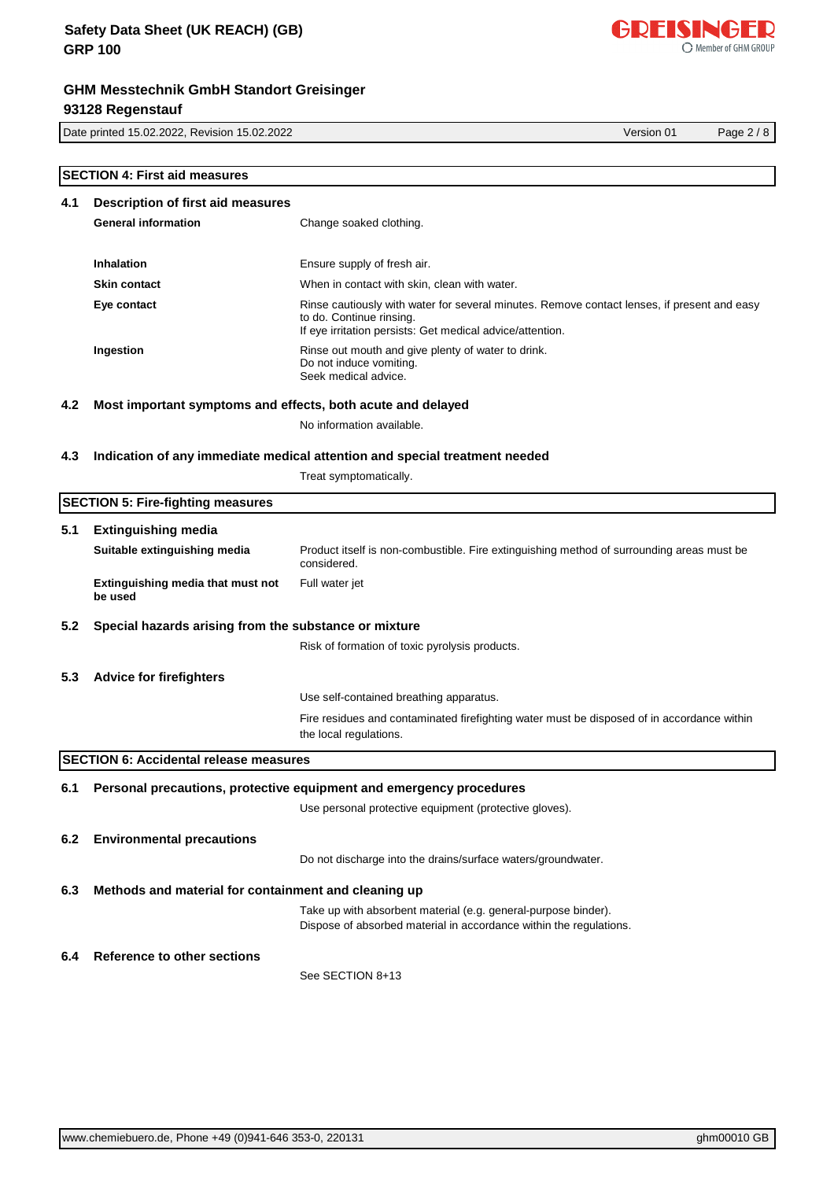# **GHM Messtechnik GmbH Standort Greisinger 93128 Regenstauf**

Date printed 15.02.2022, Revision 15.02.2022 Version 01 Page 2 / 8

|     | <b>SECTION 4: First aid measures</b>                        |                                                                                                                                                                                      |
|-----|-------------------------------------------------------------|--------------------------------------------------------------------------------------------------------------------------------------------------------------------------------------|
| 4.1 | Description of first aid measures                           |                                                                                                                                                                                      |
|     | <b>General information</b>                                  | Change soaked clothing.                                                                                                                                                              |
|     |                                                             |                                                                                                                                                                                      |
|     | Inhalation                                                  | Ensure supply of fresh air.                                                                                                                                                          |
|     | <b>Skin contact</b>                                         | When in contact with skin, clean with water.                                                                                                                                         |
|     | Eye contact                                                 | Rinse cautiously with water for several minutes. Remove contact lenses, if present and easy<br>to do. Continue rinsing.<br>If eye irritation persists: Get medical advice/attention. |
|     | Ingestion                                                   | Rinse out mouth and give plenty of water to drink.<br>Do not induce vomiting.<br>Seek medical advice.                                                                                |
| 4.2 | Most important symptoms and effects, both acute and delayed |                                                                                                                                                                                      |
|     |                                                             | No information available.                                                                                                                                                            |
| 4.3 |                                                             | Indication of any immediate medical attention and special treatment needed                                                                                                           |
|     |                                                             | Treat symptomatically.                                                                                                                                                               |
|     |                                                             |                                                                                                                                                                                      |
|     | <b>SECTION 5: Fire-fighting measures</b>                    |                                                                                                                                                                                      |
| 5.1 | <b>Extinguishing media</b>                                  |                                                                                                                                                                                      |
|     | Suitable extinguishing media                                | Product itself is non-combustible. Fire extinguishing method of surrounding areas must be<br>considered.                                                                             |
|     | Extinguishing media that must not<br>be used                | Full water jet                                                                                                                                                                       |
| 5.2 | Special hazards arising from the substance or mixture       |                                                                                                                                                                                      |
|     |                                                             | Risk of formation of toxic pyrolysis products.                                                                                                                                       |
|     |                                                             |                                                                                                                                                                                      |
| 5.3 | <b>Advice for firefighters</b>                              |                                                                                                                                                                                      |
|     |                                                             | Use self-contained breathing apparatus.                                                                                                                                              |
|     |                                                             | Fire residues and contaminated firefighting water must be disposed of in accordance within<br>the local regulations.                                                                 |
|     | <b>SECTION 6: Accidental release measures</b>               |                                                                                                                                                                                      |
| 6.1 |                                                             | Personal precautions, protective equipment and emergency procedures                                                                                                                  |
|     |                                                             | Use personal protective equipment (protective gloves).                                                                                                                               |
|     |                                                             |                                                                                                                                                                                      |
| 6.2 | <b>Environmental precautions</b>                            |                                                                                                                                                                                      |
|     |                                                             | Do not discharge into the drains/surface waters/groundwater.                                                                                                                         |
| 6.3 | Methods and material for containment and cleaning up        |                                                                                                                                                                                      |
|     |                                                             | Take up with absorbent material (e.g. general-purpose binder).                                                                                                                       |
|     |                                                             | Dispose of absorbed material in accordance within the regulations.                                                                                                                   |
| 6.4 | <b>Reference to other sections</b>                          |                                                                                                                                                                                      |
|     |                                                             | See SECTION 8+13                                                                                                                                                                     |
|     |                                                             |                                                                                                                                                                                      |

 $\overline{\phantom{a}}$ 

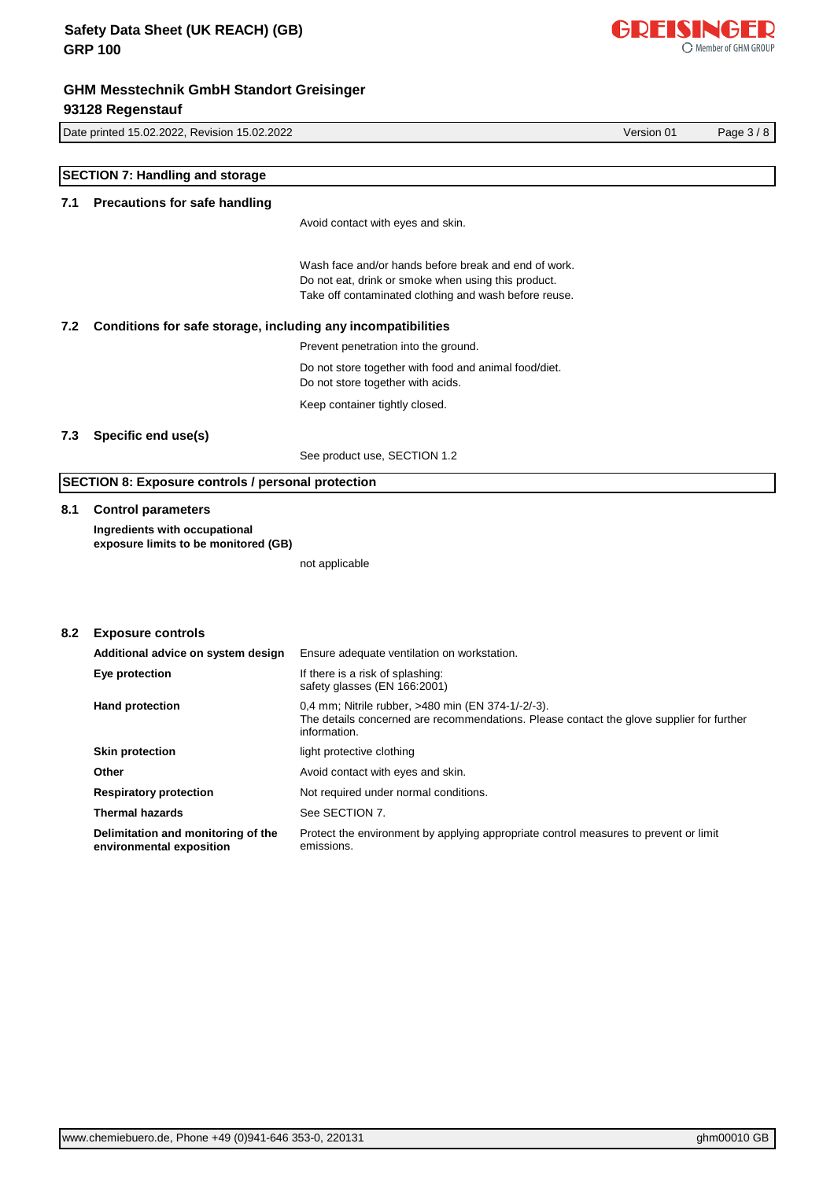Do not store together with food and animal food/diet. Do not store together with acids. Keep container tightly closed. **7.3 Specific end use(s)** See product use, SECTION 1.2 **SECTION 8: Exposure controls / personal protection 8.1 Control parameters Ingredients with occupational exposure limits to be monitored (GB)** not applicable **8.2 Exposure controls Additional advice on system design** Ensure adequate ventilation on workstation. **Eye protection If there is a risk of splashing:** 

# **SECTION 7: Handling and storage**

### **7.1 Precautions for safe handling**

Avoid contact with eyes and skin.

Wash face and/or hands before break and end of work. Do not eat, drink or smoke when using this product. Take off contaminated clothing and wash before reuse.

#### **7.2 Conditions for safe storage, including any incompatibilities**

Prevent penetration into the ground.

| Eye protection                                                 | If there is a risk of splashing:<br>safety glasses (EN 166:2001)                                                                                               |  |
|----------------------------------------------------------------|----------------------------------------------------------------------------------------------------------------------------------------------------------------|--|
| <b>Hand protection</b>                                         | 0.4 mm; Nitrile rubber, >480 min (EN 374-1/-2/-3).<br>The details concerned are recommendations. Please contact the glove supplier for further<br>information. |  |
| <b>Skin protection</b>                                         | light protective clothing                                                                                                                                      |  |
| Other                                                          | Avoid contact with eyes and skin.                                                                                                                              |  |
| <b>Respiratory protection</b>                                  | Not required under normal conditions.                                                                                                                          |  |
| <b>Thermal hazards</b>                                         | See SECTION 7.                                                                                                                                                 |  |
| Delimitation and monitoring of the<br>environmental exposition | Protect the environment by applying appropriate control measures to prevent or limit<br>emissions.                                                             |  |



Date printed 15.02.2022, Revision 15.02.2022 Version 01 Page 3 / 8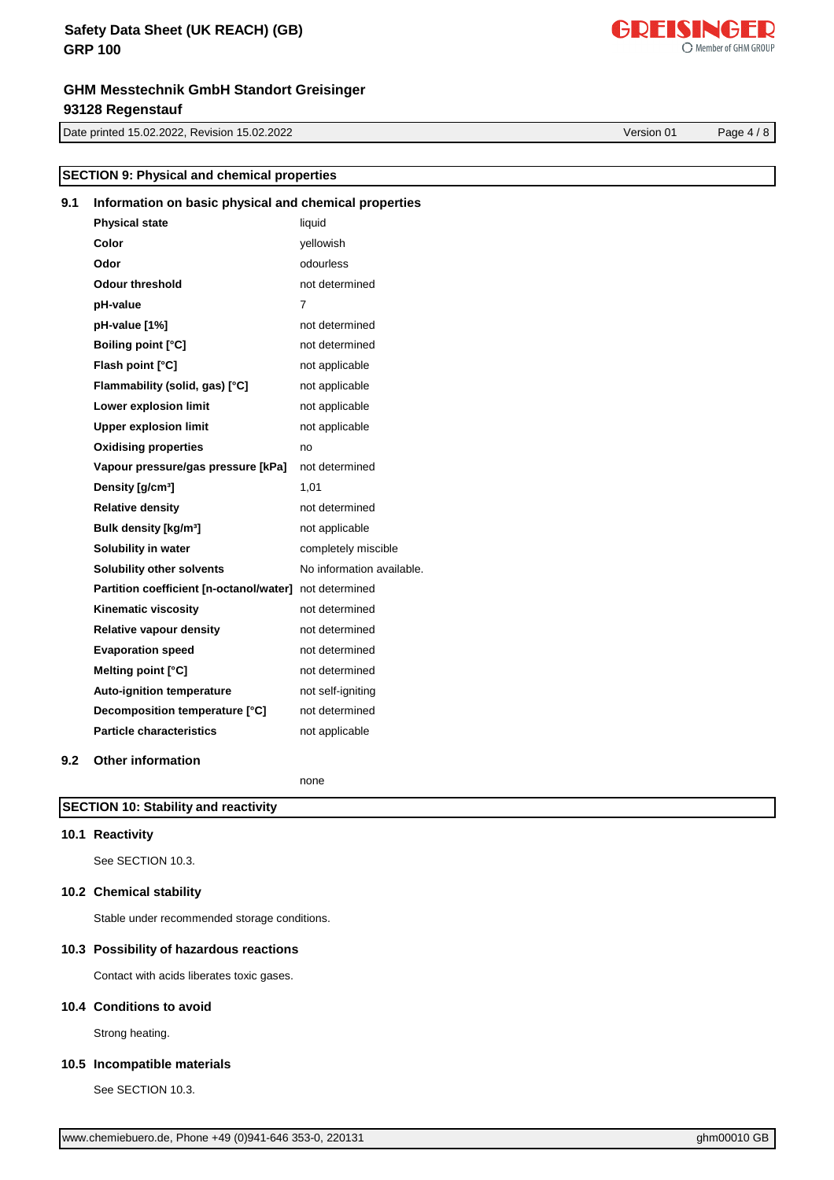# **GHM Messtechnik GmbH Standort Greisinger 93128 Regenstauf**

Date printed 15.02.2022, Revision 15.02.2022 Version 01 Page 4 / 8

**SECTION 9: Physical and chemical properties**

| 9.1 | Information on basic physical and chemical properties  |                           |
|-----|--------------------------------------------------------|---------------------------|
|     | <b>Physical state</b>                                  | liquid                    |
|     | Color                                                  | yellowish                 |
|     | Odor                                                   | odourless                 |
|     | <b>Odour threshold</b>                                 | not determined            |
|     | pH-value                                               | 7                         |
|     | pH-value [1%]                                          | not determined            |
|     | <b>Boiling point [°C]</b>                              | not determined            |
|     | Flash point [°C]                                       | not applicable            |
|     | Flammability (solid, gas) [°C]                         | not applicable            |
|     | Lower explosion limit                                  | not applicable            |
|     | <b>Upper explosion limit</b>                           | not applicable            |
|     | <b>Oxidising properties</b>                            | no                        |
|     | Vapour pressure/gas pressure [kPa]                     | not determined            |
|     | Density [g/cm <sup>3</sup> ]                           | 1,01                      |
|     | <b>Relative density</b>                                | not determined            |
|     | Bulk density [kg/m <sup>3</sup> ]                      | not applicable            |
|     | Solubility in water                                    | completely miscible       |
|     | Solubility other solvents                              | No information available. |
|     | Partition coefficient [n-octanol/water] not determined |                           |
|     | Kinematic viscosity                                    | not determined            |
|     | <b>Relative vapour density</b>                         | not determined            |
|     | <b>Evaporation speed</b>                               | not determined            |
|     | Melting point [°C]                                     | not determined            |
|     | Auto-ignition temperature                              | not self-igniting         |
|     | Decomposition temperature [°C]                         | not determined            |
|     | <b>Particle characteristics</b>                        | not applicable            |
| 9.2 | <b>Other information</b>                               |                           |

none

**SECTION 10: Stability and reactivity**

### **10.1 Reactivity**

See SECTION 10.3.

#### **10.2 Chemical stability**

Stable under recommended storage conditions.

#### **10.3 Possibility of hazardous reactions**

Contact with acids liberates toxic gases.

#### **10.4 Conditions to avoid**

Strong heating.

### **10.5 Incompatible materials**

See SECTION 10.3.

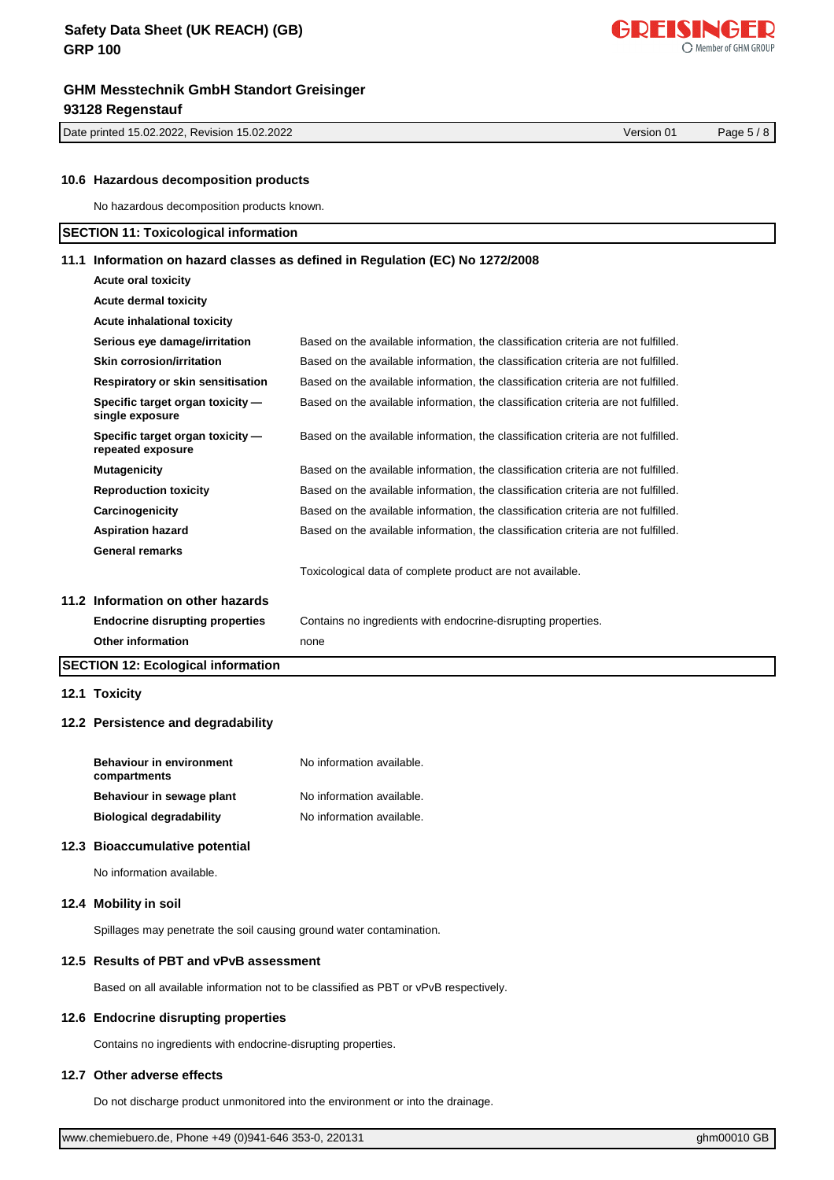Date printed 15.02.2022, Revision 15.02.2022 Version 01 Page 5 / 8

| ww.chemiebuero.de, Phone +49 (0)941-646 353-0, 220131 |
|-------------------------------------------------------|
|-------------------------------------------------------|

### **10.6 Hazardous decomposition products**

**Acute oral toxicity**

No hazardous decomposition products known.

### **SECTION 11: Toxicological information**

#### **11.1 Information on hazard classes as defined in Regulation (EC) No 1272/2008**

| <b>SECTION 12: Ecological information</b>             |                                                                                    |
|-------------------------------------------------------|------------------------------------------------------------------------------------|
| Other information                                     | none                                                                               |
| <b>Endocrine disrupting properties</b>                | Contains no ingredients with endocrine-disrupting properties.                      |
| 11.2 Information on other hazards                     |                                                                                    |
|                                                       | Toxicological data of complete product are not available.                          |
| <b>General remarks</b>                                |                                                                                    |
| <b>Aspiration hazard</b>                              | Based on the available information, the classification criteria are not fulfilled. |
| Carcinogenicity                                       | Based on the available information, the classification criteria are not fulfilled. |
| <b>Reproduction toxicity</b>                          | Based on the available information, the classification criteria are not fulfilled. |
| <b>Mutagenicity</b>                                   | Based on the available information, the classification criteria are not fulfilled. |
| Specific target organ toxicity -<br>repeated exposure | Based on the available information, the classification criteria are not fulfilled. |
| Specific target organ toxicity -<br>single exposure   | Based on the available information, the classification criteria are not fulfilled. |
| Respiratory or skin sensitisation                     | Based on the available information, the classification criteria are not fulfilled. |
| <b>Skin corrosion/irritation</b>                      | Based on the available information, the classification criteria are not fulfilled. |
| Serious eye damage/irritation                         | Based on the available information, the classification criteria are not fulfilled. |
| Acute inhalational toxicity                           |                                                                                    |
| <b>Acute dermal toxicity</b>                          |                                                                                    |
| <b>ACUTE OF ALL TOXICITY</b>                          |                                                                                    |

#### **12.1 Toxicity**

#### **12.2 Persistence and degradability**

| <b>Behaviour in environment</b><br>compartments | No information available. |
|-------------------------------------------------|---------------------------|
| Behaviour in sewage plant                       | No information available. |
| <b>Biological degradability</b>                 | No information available. |

#### **12.3 Bioaccumulative potential**

No information available.

#### **12.4 Mobility in soil**

Spillages may penetrate the soil causing ground water contamination.

### **12.5 Results of PBT and vPvB assessment**

Based on all available information not to be classified as PBT or vPvB respectively.

### **12.6 Endocrine disrupting properties**

Contains no ingredients with endocrine-disrupting properties.

#### **12.7 Other adverse effects**

Do not discharge product unmonitored into the environment or into the drainage.

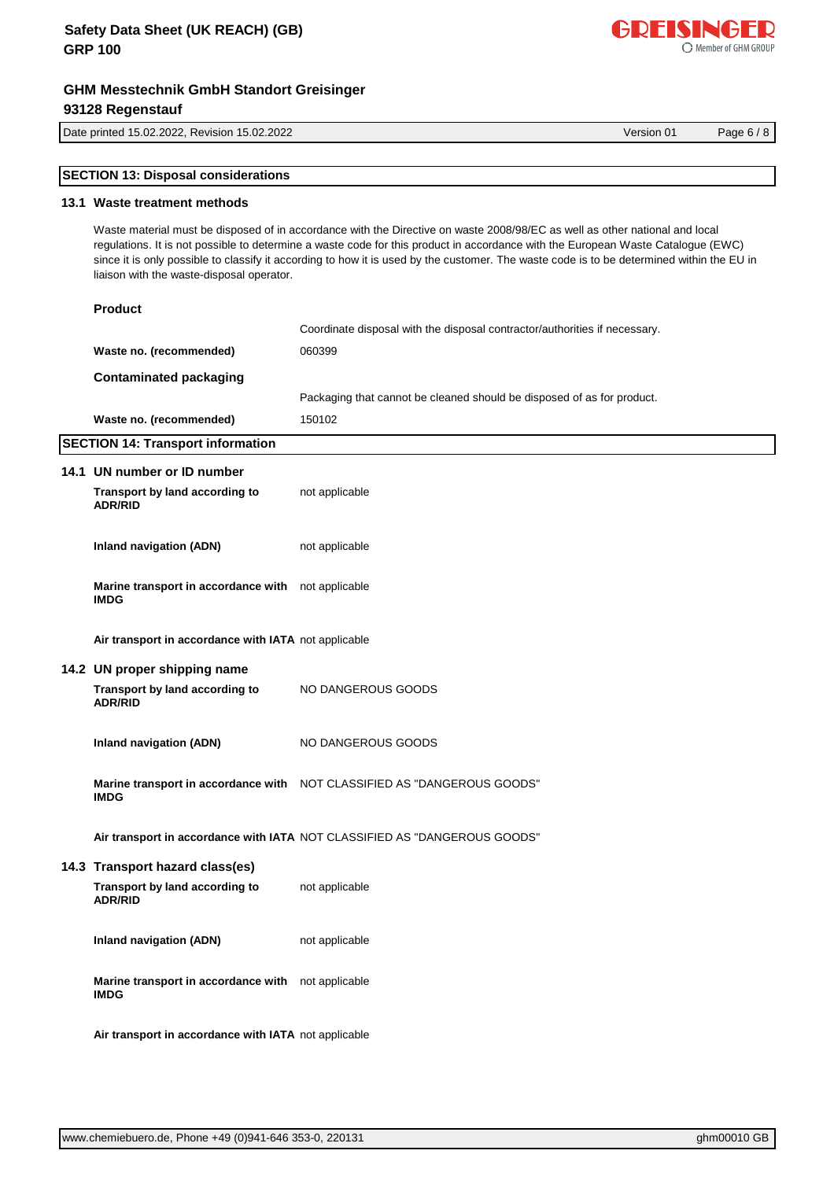### **GHM Messtechnik GmbH Standort Greisinger 93128 Regenstauf**

Date printed 15.02.2022, Revision 15.02.2022 Version 01 Page 6 / 8

[www.chemiebuero.de](http://www.chemiebuero.de), Phone +49 (0)941-646 353-0, 220131 **GBT 1000010 GBT 100010 GBT 100010 GBT** 1000010 GBT 1000010

| Version 01 |  |
|------------|--|
|            |  |

# **SECTION 13: Disposal considerations**

### **13.1 Waste treatment methods**

Waste material must be disposed of in accordance with the Directive on waste 2008/98/EC as well as other national and local regulations. It is not possible to determine a waste code for this product in accordance with the European Waste Catalogue (EWC) since it is only possible to classify it according to how it is used by the customer. The waste code is to be determined within the EU in liaison with the waste-disposal operator.

| <b>Product</b>                                                    |                                                                            |
|-------------------------------------------------------------------|----------------------------------------------------------------------------|
|                                                                   | Coordinate disposal with the disposal contractor/authorities if necessary. |
| Waste no. (recommended)                                           | 060399                                                                     |
| <b>Contaminated packaging</b>                                     |                                                                            |
|                                                                   | Packaging that cannot be cleaned should be disposed of as for product.     |
| Waste no. (recommended)                                           | 150102                                                                     |
| <b>SECTION 14: Transport information</b>                          |                                                                            |
| 14.1 UN number or ID number                                       |                                                                            |
| Transport by land according to<br><b>ADR/RID</b>                  | not applicable                                                             |
| <b>Inland navigation (ADN)</b>                                    | not applicable                                                             |
| Marine transport in accordance with not applicable<br><b>IMDG</b> |                                                                            |
| Air transport in accordance with IATA not applicable              |                                                                            |
| 14.2 UN proper shipping name                                      |                                                                            |
| Transport by land according to<br><b>ADR/RID</b>                  | NO DANGEROUS GOODS                                                         |
| <b>Inland navigation (ADN)</b>                                    | NO DANGEROUS GOODS                                                         |
| <b>IMDG</b>                                                       | Marine transport in accordance with NOT CLASSIFIED AS "DANGEROUS GOODS"    |
|                                                                   | Air transport in accordance with IATA NOT CLASSIFIED AS "DANGEROUS GOODS"  |
| 14.3 Transport hazard class(es)                                   |                                                                            |
| Transport by land according to<br><b>ADR/RID</b>                  | not applicable                                                             |
| <b>Inland navigation (ADN)</b>                                    | not applicable                                                             |
| Marine transport in accordance with not applicable<br><b>IMDG</b> |                                                                            |
| Air transport in accordance with IATA not applicable              |                                                                            |

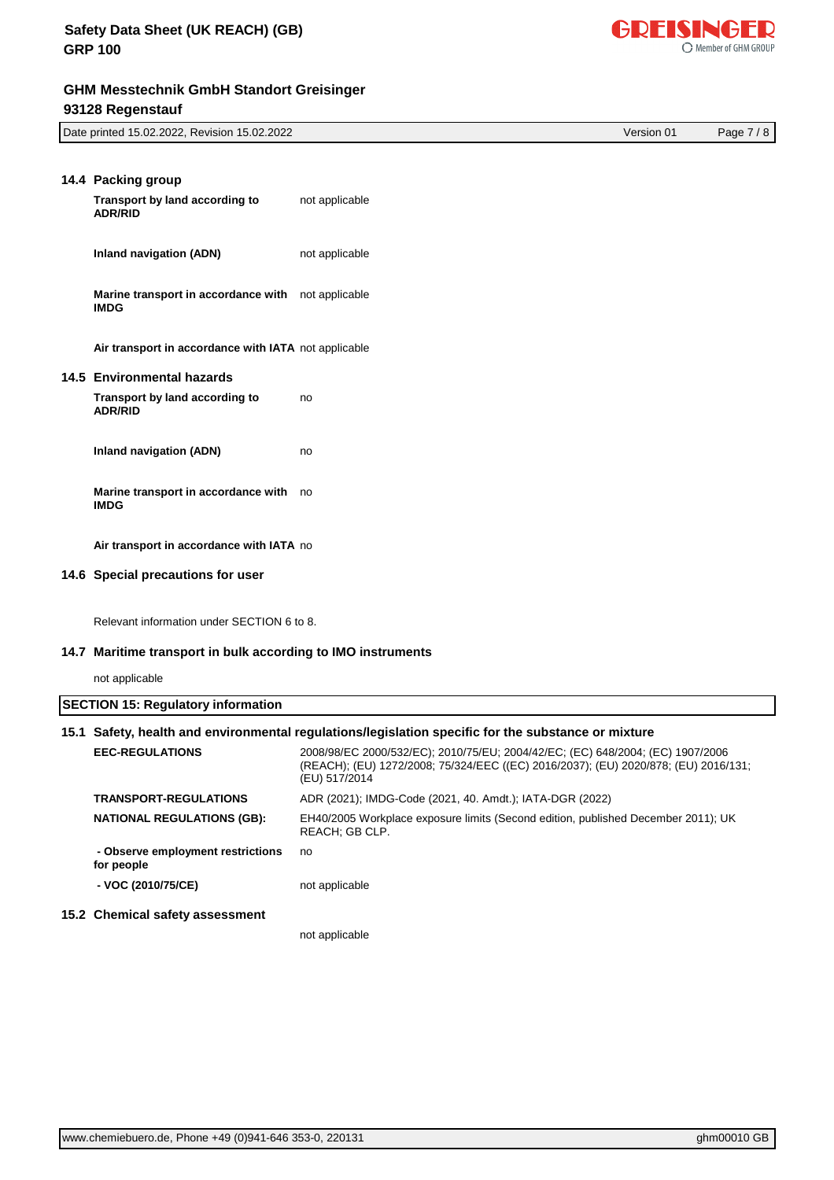

GDEISINGED

O Member of GHM GROUP

| 14.4 Packing group                                                |                |
|-------------------------------------------------------------------|----------------|
| Transport by land according to<br><b>ADR/RID</b>                  | not applicable |
| Inland navigation (ADN)                                           | not applicable |
| Marine transport in accordance with not applicable<br><b>IMDG</b> |                |
| Air transport in accordance with IATA not applicable              |                |
| 14.5 Environmental hazards                                        |                |
| Transport by land according to<br><b>ADR/RID</b>                  | no             |
| Inland navigation (ADN)                                           | no             |
| Marine transport in accordance with<br><b>IMDG</b>                | no             |
| Air transport in accordance with IATA no                          |                |
| 14.6 Special precautions for user                                 |                |

Relevant information under SECTION 6 to 8.

#### **14.7 Maritime transport in bulk according to IMO instruments**

not applicable

# **SECTION 15: Regulatory information 15.1 Safety, health and environmental regulations/legislation specific for the substance or mixture**

| <b>EEC-REGULATIONS</b>                          | 2008/98/EC 2000/532/EC); 2010/75/EU; 2004/42/EC; (EC) 648/2004; (EC) 1907/2006<br>(REACH); (EU) 1272/2008; 75/324/EEC ((EC) 2016/2037); (EU) 2020/878; (EU) 2016/131;<br>(EU) 517/2014 |
|-------------------------------------------------|----------------------------------------------------------------------------------------------------------------------------------------------------------------------------------------|
| <b>TRANSPORT-REGULATIONS</b>                    | ADR (2021); IMDG-Code (2021, 40. Amdt.); IATA-DGR (2022)                                                                                                                               |
| <b>NATIONAL REGULATIONS (GB):</b>               | EH40/2005 Workplace exposure limits (Second edition, published December 2011); UK<br>REACH: GB CLP.                                                                                    |
| - Observe employment restrictions<br>for people | no                                                                                                                                                                                     |
| - VOC (2010/75/CE)                              | not applicable                                                                                                                                                                         |
| 15.2 Chemical safety assessment                 |                                                                                                                                                                                        |
|                                                 | not applicable                                                                                                                                                                         |